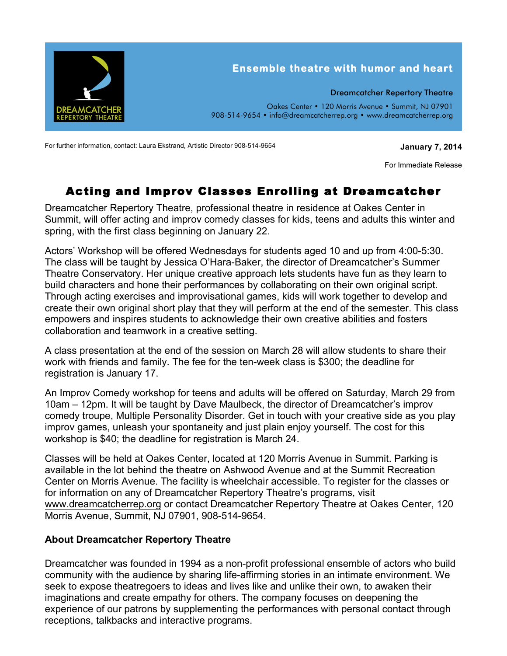

For further information, contact: Laura Ekstrand, Artistic Director 908-514-9654 **January 7, 2014**

For Immediate Release

## Acting and Improv Classes Enrolling at Dreamcatcher

Dreamcatcher Repertory Theatre, professional theatre in residence at Oakes Center in Summit, will offer acting and improv comedy classes for kids, teens and adults this winter and spring, with the first class beginning on January 22.

Actors' Workshop will be offered Wednesdays for students aged 10 and up from 4:00-5:30. The class will be taught by Jessica O'Hara-Baker, the director of Dreamcatcher's Summer Theatre Conservatory. Her unique creative approach lets students have fun as they learn to build characters and hone their performances by collaborating on their own original script. Through acting exercises and improvisational games, kids will work together to develop and create their own original short play that they will perform at the end of the semester. This class empowers and inspires students to acknowledge their own creative abilities and fosters collaboration and teamwork in a creative setting.

A class presentation at the end of the session on March 28 will allow students to share their work with friends and family. The fee for the ten-week class is \$300; the deadline for registration is January 17.

An Improv Comedy workshop for teens and adults will be offered on Saturday, March 29 from 10am – 12pm. It will be taught by Dave Maulbeck, the director of Dreamcatcher's improv comedy troupe, Multiple Personality Disorder. Get in touch with your creative side as you play improv games, unleash your spontaneity and just plain enjoy yourself. The cost for this workshop is \$40; the deadline for registration is March 24.

Classes will be held at Oakes Center, located at 120 Morris Avenue in Summit. Parking is available in the lot behind the theatre on Ashwood Avenue and at the Summit Recreation Center on Morris Avenue. The facility is wheelchair accessible. To register for the classes or for information on any of Dreamcatcher Repertory Theatre's programs, visit www.dreamcatcherrep.org or contact Dreamcatcher Repertory Theatre at Oakes Center, 120 Morris Avenue, Summit, NJ 07901, 908-514-9654.

## **About Dreamcatcher Repertory Theatre**

Dreamcatcher was founded in 1994 as a non-profit professional ensemble of actors who build community with the audience by sharing life-affirming stories in an intimate environment. We seek to expose theatregoers to ideas and lives like and unlike their own, to awaken their imaginations and create empathy for others. The company focuses on deepening the experience of our patrons by supplementing the performances with personal contact through receptions, talkbacks and interactive programs.